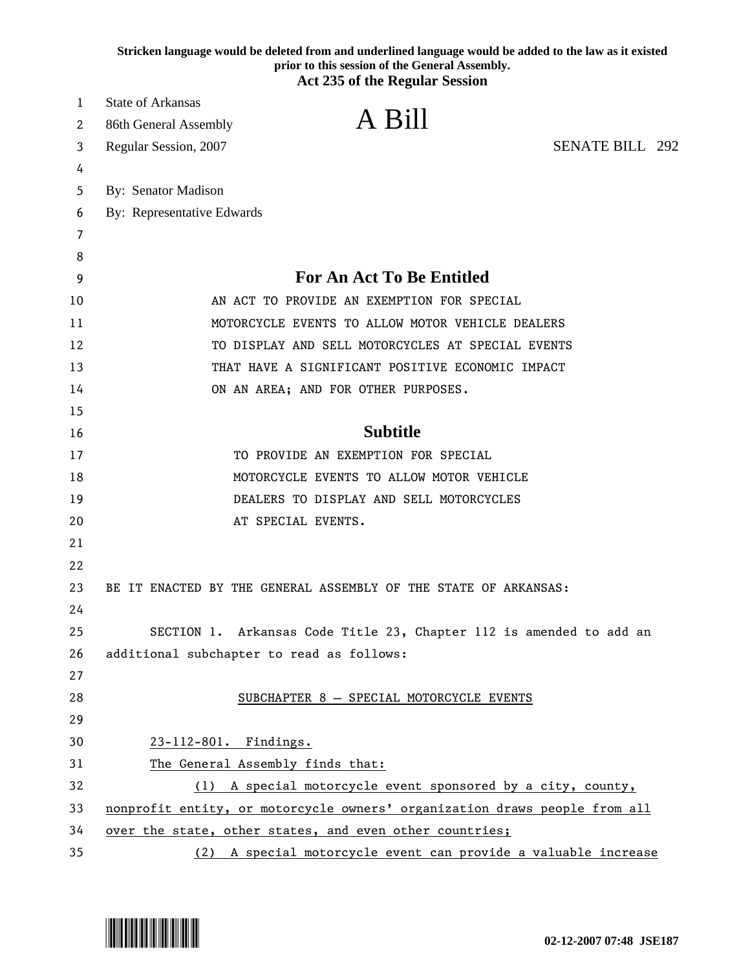|    | Stricken language would be deleted from and underlined language would be added to the law as it existed<br>prior to this session of the General Assembly.<br><b>Act 235 of the Regular Session</b> |
|----|----------------------------------------------------------------------------------------------------------------------------------------------------------------------------------------------------|
| 1  | <b>State of Arkansas</b>                                                                                                                                                                           |
| 2  | A Bill<br>86th General Assembly                                                                                                                                                                    |
| 3  | <b>SENATE BILL 292</b><br>Regular Session, 2007                                                                                                                                                    |
| 4  |                                                                                                                                                                                                    |
| 5  | By: Senator Madison                                                                                                                                                                                |
| 6  | By: Representative Edwards                                                                                                                                                                         |
| 7  |                                                                                                                                                                                                    |
| 8  |                                                                                                                                                                                                    |
| 9  | <b>For An Act To Be Entitled</b>                                                                                                                                                                   |
| 10 | AN ACT TO PROVIDE AN EXEMPTION FOR SPECIAL                                                                                                                                                         |
| 11 | MOTORCYCLE EVENTS TO ALLOW MOTOR VEHICLE DEALERS                                                                                                                                                   |
| 12 | TO DISPLAY AND SELL MOTORCYCLES AT SPECIAL EVENTS                                                                                                                                                  |
| 13 | THAT HAVE A SIGNIFICANT POSITIVE ECONOMIC IMPACT                                                                                                                                                   |
| 14 | ON AN AREA; AND FOR OTHER PURPOSES.                                                                                                                                                                |
| 15 |                                                                                                                                                                                                    |
| 16 | <b>Subtitle</b>                                                                                                                                                                                    |
| 17 | TO PROVIDE AN EXEMPTION FOR SPECIAL                                                                                                                                                                |
| 18 | MOTORCYCLE EVENTS TO ALLOW MOTOR VEHICLE                                                                                                                                                           |
| 19 | DEALERS TO DISPLAY AND SELL MOTORCYCLES                                                                                                                                                            |
| 20 | AT SPECIAL EVENTS.                                                                                                                                                                                 |
| 21 |                                                                                                                                                                                                    |
| 22 |                                                                                                                                                                                                    |
| 23 | BE IT ENACTED BY THE GENERAL ASSEMBLY OF THE STATE OF ARKANSAS:                                                                                                                                    |
| 24 |                                                                                                                                                                                                    |
| 25 | SECTION 1. Arkansas Code Title 23, Chapter 112 is amended to add an                                                                                                                                |
| 26 | additional subchapter to read as follows:                                                                                                                                                          |
| 27 |                                                                                                                                                                                                    |
| 28 | SUBCHAPTER 8 - SPECIAL MOTORCYCLE EVENTS                                                                                                                                                           |
| 29 |                                                                                                                                                                                                    |
| 30 | 23-112-801. Findings.                                                                                                                                                                              |
| 31 | The General Assembly finds that:                                                                                                                                                                   |
| 32 | (1) A special motorcycle event sponsored by a city, county,                                                                                                                                        |
| 33 | nonprofit entity, or motorcycle owners' organization draws people from all                                                                                                                         |
| 34 | over the state, other states, and even other countries;                                                                                                                                            |
| 35 | (2) A special motorcycle event can provide a valuable increase                                                                                                                                     |

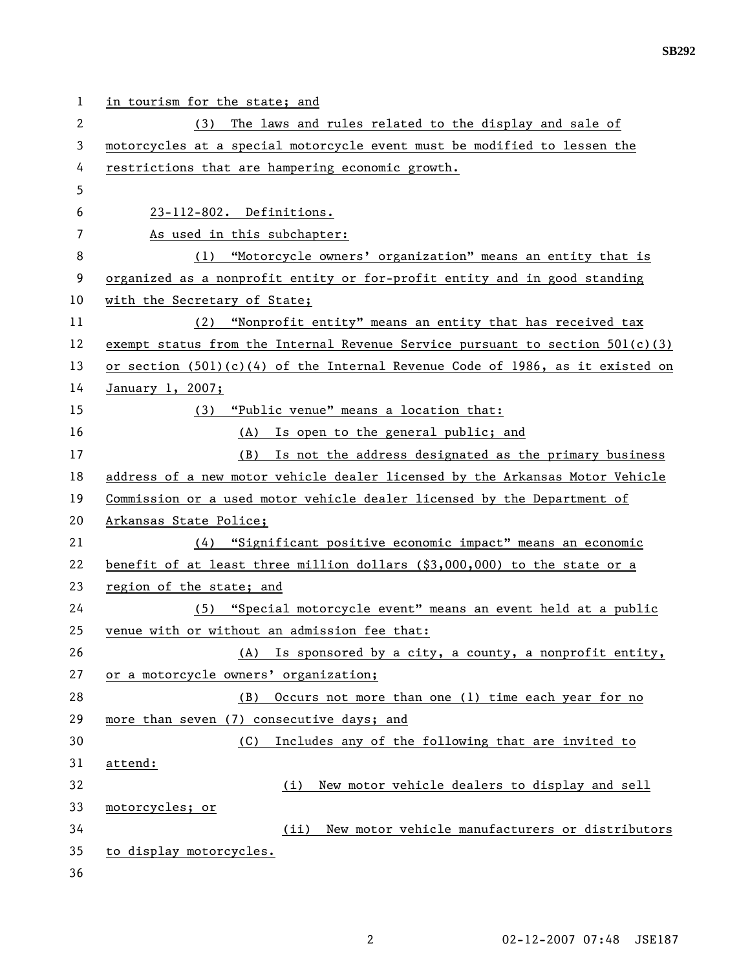| 1  | in tourism for the state; and                                                   |
|----|---------------------------------------------------------------------------------|
| 2  | The laws and rules related to the display and sale of<br>(3)                    |
| 3  | motorcycles at a special motorcycle event must be modified to lessen the        |
| 4  | restrictions that are hampering economic growth.                                |
| 5  |                                                                                 |
| 6  | 23-112-802. Definitions.                                                        |
| 7  | As used in this subchapter:                                                     |
| 8  | (1) "Motorcycle owners' organization" means an entity that is                   |
| 9  | organized as a nonprofit entity or for-profit entity and in good standing       |
| 10 | with the Secretary of State;                                                    |
| 11 | (2) "Nonprofit entity" means an entity that has received tax                    |
| 12 | exempt status from the Internal Revenue Service pursuant to section $501(c)(3)$ |
| 13 | or section $(501)(c)(4)$ of the Internal Revenue Code of 1986, as it existed on |
| 14 | January 1, 2007;                                                                |
| 15 | "Public venue" means a location that:<br>(3)                                    |
| 16 | (A) Is open to the general public; and                                          |
| 17 | Is not the address designated as the primary business<br>(B)                    |
| 18 | address of a new motor vehicle dealer licensed by the Arkansas Motor Vehicle    |
| 19 | Commission or a used motor vehicle dealer licensed by the Department of         |
| 20 | Arkansas State Police;                                                          |
| 21 | (4) "Significant positive economic impact" means an economic                    |
| 22 | benefit of at least three million dollars $(33,000,000)$ to the state or a      |
| 23 | region of the state; and                                                        |
| 24 | (5) "Special motorcycle event" means an event held at a public                  |
| 25 | venue with or without an admission fee that:                                    |
| 26 | Is sponsored by a city, a county, a nonprofit entity,<br>(A)                    |
| 27 | or a motorcycle owners' organization;                                           |
| 28 | Occurs not more than one (1) time each year for no<br>(B)                       |
| 29 | more than seven (7) consecutive days; and                                       |
| 30 | Includes any of the following that are invited to<br>(C)                        |
| 31 | attend:                                                                         |
| 32 | New motor vehicle dealers to display and sell<br>(i)                            |
| 33 | motorcycles; or                                                                 |
| 34 | New motor vehicle manufacturers or distributors<br>(ii)                         |
| 35 | to display motorcycles.                                                         |
| 36 |                                                                                 |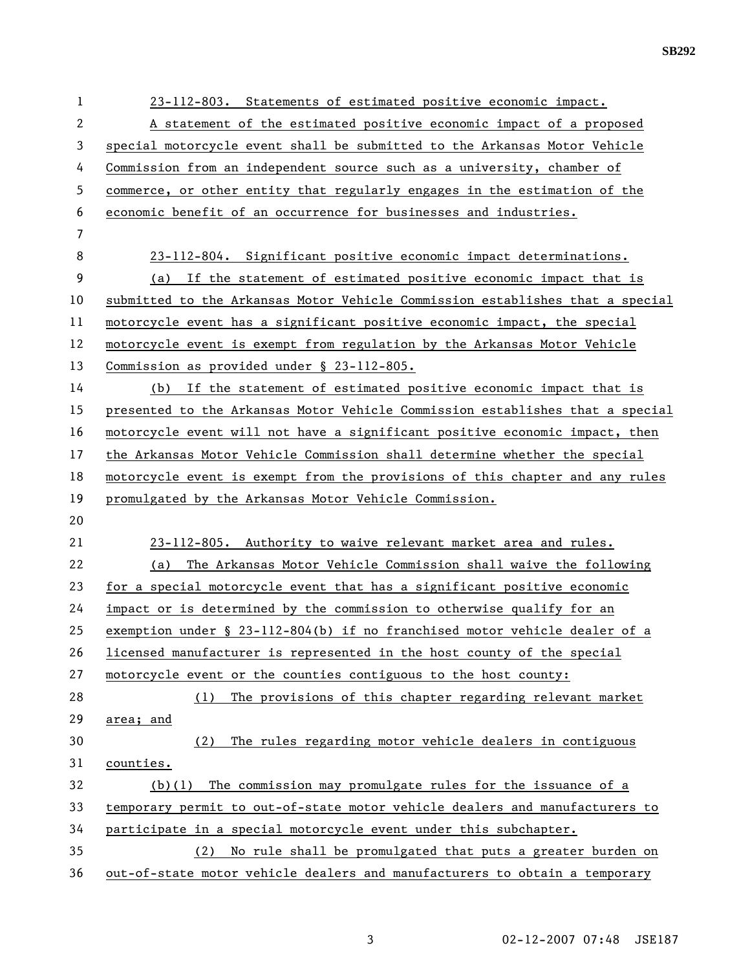| $\mathbf{1}$   | 23-112-803. Statements of estimated positive economic impact.                 |
|----------------|-------------------------------------------------------------------------------|
| $\mathbf{2}$   | A statement of the estimated positive economic impact of a proposed           |
| 3              | special motorcycle event shall be submitted to the Arkansas Motor Vehicle     |
| 4              | Commission from an independent source such as a university, chamber of        |
| 5              | commerce, or other entity that regularly engages in the estimation of the     |
| 6              | economic benefit of an occurrence for businesses and industries.              |
| $\overline{7}$ |                                                                               |
| 8              | 23-112-804. Significant positive economic impact determinations.              |
| 9              | (a) If the statement of estimated positive economic impact that is            |
| 10             | submitted to the Arkansas Motor Vehicle Commission establishes that a special |
| 11             | motorcycle event has a significant positive economic impact, the special      |
| 12             | motorcycle event is exempt from regulation by the Arkansas Motor Vehicle      |
| 13             | Commission as provided under § 23-112-805.                                    |
| 14             | (b) If the statement of estimated positive economic impact that is            |
| 15             | presented to the Arkansas Motor Vehicle Commission establishes that a special |
| 16             | motorcycle event will not have a significant positive economic impact, then   |
| 17             | the Arkansas Motor Vehicle Commission shall determine whether the special     |
| 18             | motorcycle event is exempt from the provisions of this chapter and any rules  |
| 19             | promulgated by the Arkansas Motor Vehicle Commission.                         |
| 20             |                                                                               |
| 21             | 23-112-805. Authority to waive relevant market area and rules.                |
| 22             | The Arkansas Motor Vehicle Commission shall waive the following<br>(a)        |
| 23             | for a special motorcycle event that has a significant positive economic       |
| 24             | impact or is determined by the commission to otherwise qualify for an         |
| 25             | exemption under § 23-112-804(b) if no franchised motor vehicle dealer of a    |
| 26             | licensed manufacturer is represented in the host county of the special        |
| 27             | motorcycle event or the counties contiguous to the host county:               |
| 28             | The provisions of this chapter regarding relevant market<br>(1)               |
| 29             | area; and                                                                     |
| 30             | The rules regarding motor vehicle dealers in contiguous<br>(2)                |
| 31             | counties.                                                                     |
| 32             | The commission may promulgate rules for the issuance of a<br>(b)(1)           |
| 33             | temporary permit to out-of-state motor vehicle dealers and manufacturers to   |
| 34             | participate in a special motorcycle event under this subchapter.              |
| 35             | No rule shall be promulgated that puts a greater burden on<br>(2)             |
| 36             | out-of-state motor vehicle dealers and manufacturers to obtain a temporary    |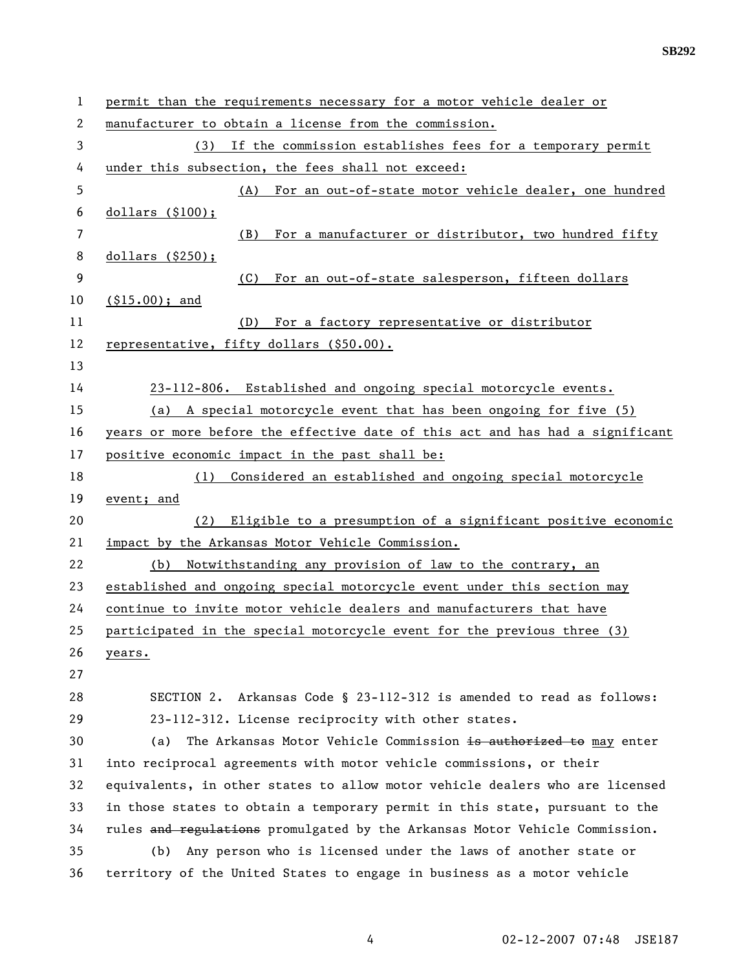| 1  | permit than the requirements necessary for a motor vehicle dealer or          |
|----|-------------------------------------------------------------------------------|
| 2  | manufacturer to obtain a license from the commission.                         |
| 3  | (3) If the commission establishes fees for a temporary permit                 |
| 4  | under this subsection, the fees shall not exceed:                             |
| 5  | For an out-of-state motor vehicle dealer, one hundred<br>(A)                  |
| 6  | dollars $(\$100);$                                                            |
| 7  | For a manufacturer or distributor, two hundred fifty<br>(B)                   |
| 8  | dollars $( $250);$                                                            |
| 9  | For an out-of-state salesperson, fifteen dollars<br>(C)                       |
| 10 | $( $15.00);$ and                                                              |
| 11 | (D)<br>For a factory representative or distributor                            |
| 12 | representative, fifty dollars (\$50.00).                                      |
| 13 |                                                                               |
| 14 | 23-112-806. Established and ongoing special motorcycle events.                |
| 15 | (a) A special motorcycle event that has been ongoing for five (5)             |
| 16 | years or more before the effective date of this act and has had a significant |
| 17 | positive economic impact in the past shall be:                                |
| 18 | Considered an established and ongoing special motorcycle<br>(1)               |
| 19 | event; and                                                                    |
| 20 | Eligible to a presumption of a significant positive economic<br>(2)           |
| 21 | impact by the Arkansas Motor Vehicle Commission.                              |
| 22 | Notwithstanding any provision of law to the contrary, an<br>(b)               |
| 23 | established and ongoing special motorcycle event under this section may       |
| 24 | continue to invite motor vehicle dealers and manufacturers that have          |
| 25 | participated in the special motorcycle event for the previous three (3)       |
| 26 | years.                                                                        |
| 27 |                                                                               |
| 28 | SECTION 2. Arkansas Code § 23-112-312 is amended to read as follows:          |
| 29 | 23-112-312. License reciprocity with other states.                            |
| 30 | The Arkansas Motor Vehicle Commission is authorized to may enter<br>(a)       |
| 31 | into reciprocal agreements with motor vehicle commissions, or their           |
| 32 | equivalents, in other states to allow motor vehicle dealers who are licensed  |
| 33 |                                                                               |
|    | in those states to obtain a temporary permit in this state, pursuant to the   |
| 34 | rules and regulations promulgated by the Arkansas Motor Vehicle Commission.   |
| 35 | Any person who is licensed under the laws of another state or<br>(b)          |